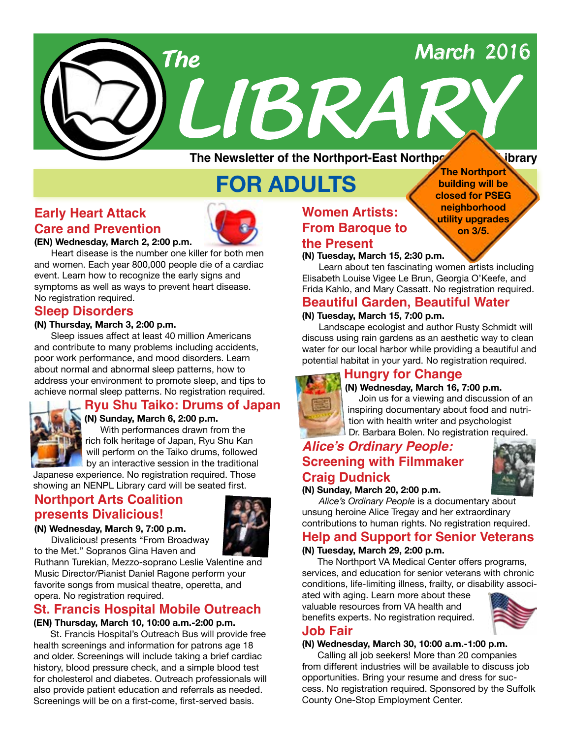# *The March <sup>2016</sup>*

**The Northport building will be closed for PSEG neighborhood utility upgrades on 3/5.**

**The Newsletter of the Northport-East Northport Public Library** 

*LIBRARY*

# **FOR ADULTS**

# **Early Heart Attack Care and Prevention**

**(EN) Wednesday, March 2, 2:00 p.m.**

Heart disease is the number one killer for both men and women. Each year 800,000 people die of a cardiac event. Learn how to recognize the early signs and symptoms as well as ways to prevent heart disease. No registration required.

# **Sleep Disorders**

### **(N) Thursday, March 3, 2:00 p.m.**

Sleep issues affect at least 40 million Americans and contribute to many problems including accidents, poor work performance, and mood disorders. Learn about normal and abnormal sleep patterns, how to address your environment to promote sleep, and tips to achieve normal sleep patterns. No registration required.



# **Ryu Shu Taiko: Drums of Japan**

**(N) Sunday, March 6, 2:00 p.m.** With performances drawn from the rich folk heritage of Japan, Ryu Shu Kan will perform on the Taiko drums, followed by an interactive session in the traditional

Japanese experience. No registration required. Those showing an NENPL Library card will be seated first.

# **Northport Arts Coalition presents Divalicious!**



### **(N) Wednesday, March 9, 7:00 p.m.**

Divalicious! presents "From Broadway to the Met." Sopranos Gina Haven and

Ruthann Turekian, Mezzo-soprano Leslie Valentine and Music Director/Pianist Daniel Ragone perform your favorite songs from musical theatre, operetta, and opera. No registration required.

### **St. Francis Hospital Mobile Outreach (EN) Thursday, March 10, 10:00 a.m.-2:00 p.m.**

St. Francis Hospital's Outreach Bus will provide free health screenings and information for patrons age 18 and older. Screenings will include taking a brief cardiac history, blood pressure check, and a simple blood test for cholesterol and diabetes. Outreach professionals will also provide patient education and referrals as needed. Screenings will be on a first-come, first-served basis.

# **Women Artists: From Baroque to the Present**

**(N) Tuesday, March 15, 2:30 p.m.**

Learn about ten fascinating women artists including Elisabeth Louise Vigee Le Brun, Georgia O'Keefe, and Frida Kahlo, and Mary Cassatt. No registration required.

# **Beautiful Garden, Beautiful Water**

### **(N) Tuesday, March 15, 7:00 p.m.**

Landscape ecologist and author Rusty Schmidt will discuss using rain gardens as an aesthetic way to clean water for our local harbor while providing a beautiful and potential habitat in your yard. No registration required.

# **Hungry for Change**



### **(N) Wednesday, March 16, 7:00 p.m.**

 Join us for a viewing and discussion of an inspiring documentary about food and nutrition with health writer and psychologist Dr. Barbara Bolen. No registration required.

# **Alice's Ordinary People: Screening with Filmmaker Craig Dudnick**



### **(N) Sunday, March 20, 2:00 p.m.**

*Alice's Ordinary People* is a documentary about unsung heroine Alice Tregay and her extraordinary contributions to human rights. No registration required.

# **Help and Support for Senior Veterans**

### **(N) Tuesday, March 29, 2:00 p.m.**

 The Northport VA Medical Center offers programs, services, and education for senior veterans with chronic conditions, life-limiting illness, frailty, or disability associ-

ated with aging. Learn more about these valuable resources from VA health and benefits experts. No registration required.



# **Job Fair**

### **(N) Wednesday, March 30, 10:00 a.m.-1:00 p.m.**

 Calling all job seekers! More than 20 companies from different industries will be available to discuss job opportunities. Bring your resume and dress for success. No registration required. Sponsored by the Suffolk County One-Stop Employment Center.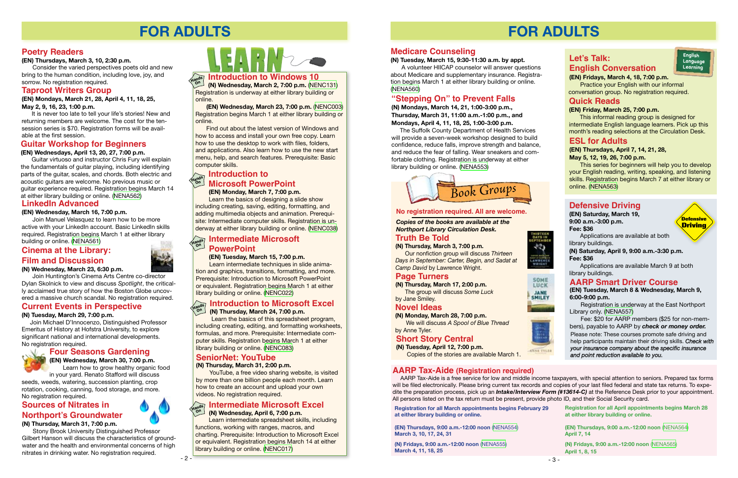

# **FOR ADULTS**

### **Current Events in Perspective**

### **(N) Tuesday, March 29, 7:00 p.m.**

 Join Michael D'Innocenzo, Distinguished Professor Emeritus of History at Hofstra University, to explore significant national and international developments. No registration required.

# **Four Seasons Gardening**

**(EN) Wednesday, March 30, 7:00 p.m.** Learn how to grow healthy organic food

in your yard. Renato Stafford will discuss seeds, weeds, watering, succession planting, crop rotation, cooking, canning, food storage, and more. No registration required.

 **(EN) Monday, March 7, 7:00 p.m.** Learn the basics of designing a slide show including creating, saving, editing, formatting, and adding multimedia objects and animation. Prerequisite: Intermediate computer skills. Registration is underway at either library building or online. [\(NENC038\)](http://alpha1.suffolk.lib.ny.us/record%3Dg1003402~S43)

### **Introduction to Microsoft PowerPoint Hands On**

**(EN) Wednesday, March 23, 7:00 p.m.** [\(NENC003\)](http://alpha1.suffolk.lib.ny.us/record%3Dg1061941~S43) Registration begins March 1 at either library building or online.

**Introduction to Windows 10 Hands**

**(N) Wednesday, March 2, 7:00 p.m.** [\(NENC131\)](http://alpha1.suffolk.lib.ny.us/record%3Dg1040832~S43) Registration is underway at either library building or online. **On**

Find out about the latest version of Windows and how to access and install your own free copy. Learn how to use the desktop to work with files, folders, and applications. Also learn how to use the new start menu, help, and search features. Prerequisite: Basic computer skills.

### **Intermediate Microsoft PowerPoint (EN) Tuesday, March 15, 7:00 p.m.**

It is never too late to tell your life's stories! New and returning members are welcome. The cost for the tensession series is \$70. Registration forms will be available at the first session.

> Learn intermediate techniques in slide animation and graphics, transitions, formatting, and more. Prerequisite: Introduction to Microsoft PowerPoint or equivalent. Registration begins March 1 at either library building or online. ([NENC022](http://alpha1.suffolk.lib.ny.us/record%3Dg1001644~S43))

 Learn the basics of this spreadsheet program, including creating, editing, and formatting worksheets, formulas, and more. Prerequisite: Intermediate computer skills. Registration begins March 1 at either library building or online. ([NENC083](http://alpha1.suffolk.lib.ny.us/record%3Dg1017266~S43))

### **Introduction to Microsoft Excel Hands**

**(N) Thursday, March 24, 7:00 p.m. On**

 Learn intermediate spreadsheet skills, including functions, working with ranges, macros, and charting. Prerequisite: Introduction to Microsoft Excel or equivalent. Registration begins March 14 at either library building or online. [\(NENC017](http://alpha1.suffolk.lib.ny.us/record%3Dg1000954~S43))

#### **Intermediate Microsoft Excel (N) Wednesday, April 6, 7:00 p.m. Hands On**

# **SeniorNet: YouTube**

### **(N) Thursday, March 31, 2:00 p.m.**

 YouTube, a free video sharing website, is visited by more than one billion people each month. Learn how to create an account and upload your own videos. No registration required.



# **Sources of Nitrates in Northport's Groundwater**

### **(N) Thursday, March 31, 7:00 p.m.**

Stony Brook University Distinguished Professor Gilbert Hanson will discuss the characteristics of groundwater and the health and environmental concerns of high nitrates in drinking water. No registration required.

# **Taproot Writers Group**

**(EN) Mondays, March 21, 28, April 4, 11, 18, 25, May 2, 9, 16, 23, 1:00 p.m.**

# **Poetry Readers**

**(EN) Thursdays, March 3, 10, 2:30 p.m.**

Consider the varied perspectives poets old and new bring to the human condition, including love, joy, and sorrow. No registration required.

# **Guitar Workshop for Beginners**

### **(EN) Wednesdays, April 13, 20, 27, 7:00 p.m.**

Guitar virtuoso and instructor Chris Fury will explain the fundamentals of guitar playing, including identifying parts of the guitar, scales, and chords. Both electric and acoustic guitars are welcome. No previous music or guitar experience required. Registration begins March 14 at either library building or online. ([NENA562](http://alpha1.suffolk.lib.ny.us/record%3Dg1061420~S43))

# **Cinema at the Library: Film and Discussion**

### **(N) Wednesday, March 23, 6:30 p.m.**

Join Huntington's Cinema Arts Centre co-director Dylan Skolnick to view and discuss *Spotlight*, the critically acclaimed true story of how the Boston Globe uncovered a massive church scandal. No registration required.

# **FOR ADULTS**

### **No registration required. All are welcome.**



# **Defensive Driving**

# **AARP Smart Driver Course**

**(EN) Tuesday, March 8 & Wednesday, March 9, 6:00-9:00 p.m.**

Registration is underway at the East Northport Library only. [\(NENA557](http://alpha1.suffolk.lib.ny.us/record%3Dg1061038~S43))

Fee: \$20 for AARP members (\$25 for non-members), payable to AARP by *check or money order.*  Please note: These courses promote safe driving and help participants maintain their driving skills. *Check with your insurance company about the specific insurance and point reduction available to you.*

### **(EN) Saturday, March 19, 9:00 a.m.-3:00 p.m. Fee: \$36**

Applications are available at both library buildings.



### **(N) Saturday, April 9, 9:00 a.m.-3:30 p.m. Fee: \$36**

Applications are available March 9 at both library buildings.

# **Let's Talk: English Conversation**

**(EN) Fridays, March 4, 18, 7:00 p.m.** Practice your English with our informal conversation group. No registration required.

# **Quick Reads**

### **(EN) Friday, March 25, 7:00 p.m.**

This informal reading group is designed for intermediate English language learners. Pick up this month's reading selections at the Circulation Desk.

# **ESL for Adults**

### **(EN) Thursdays, April 7, 14, 21, 28, May 5, 12, 19, 26, 7:00 p.m.**

This series for beginners will help you to develop your English reading, writing, speaking, and listening skills. Registration begins March 7 at either library or online. [\(NENA563\)](http://alpha1.suffolk.lib.ny.us/record%3Dg1061571~S43)

# **AARP Tax-Aide (Registration required)**

 AARP Tax-Aide is a free service for low and middle income taxpayers, with special attention to seniors. Prepared tax forms will be filed electronically. Please bring current tax records and copies of your last filed federal and state tax returns. To expedite the preparation process, pick up an *Intake/Interview Form (#13614-C)* at the Reference Desk prior to your appointment. All persons listed on the tax return must be present, provide photo ID, and their Social Security card.

**Registration for all March appointments begins February 29 at either library building or online.** 

**(EN) Thursdays, 9:00 a.m.-12:00 noon** [\(NENA554](http://alpha1.suffolk.lib.ny.us/record%3Dg1061071~S43)) **March 3, 10, 17, 24, 31**

**(N) Fridays, 9:00 a.m.-12:00 noon** ([NENA555](http://alpha1.suffolk.lib.ny.us/record%3Dg1061173~S43)) **March 4, 11, 18, 25**





40







**Registration for all April appointments begins March 28 at either library building or online.** 

**(EN) Thursdays, 9:00 a.m.-12:00 noon** ([NENA564\)](http://alpha1.suffolk.lib.ny.us/record%3Dg1061629~S43) **April 7, 14 (N) Fridays, 9:00 a.m.-12:00 noon** [\(NENA565\)](http://alpha1.suffolk.lib.ny.us/record%3Dg1061632~S43)

**April 1, 8, 15**

# **Page Turners**

**(N) Thursday, March 17, 2:00 p.m.** The group will discuss *Some Luck*

### by Jane Smiley. **Novel Ideas**

**(N) Monday, March 28, 7:00 p.m.** We will discuss *A Spool of Blue Thread*

## by Anne Tyler.

*Copies of the books are available at the Northport Library Circulation Desk.* 

# **Truth Be Told**

**(N) Thursday, March 3, 7:00 p.m.** Our nonfiction group will discuss *Thirteen Days in September: Carter, Begin, and Sadat at Camp David* by Lawrence Wright.

# **"Stepping On" to Prevent Falls**

**(N) Mondays, March 14, 21, 1:00-3:00 p.m., Thursday, March 31, 11:00 a.m.-1:00 p.m., and Mondays, April 4, 11, 18, 25, 1:00-3:00 p.m.**

 The Suffolk County Department of Health Services will provide a seven-week workshop designed to build confidence, reduce falls, improve strength and balance, and reduce the fear of falling. Wear sneakers and comfortable clothing. Registration is underway at either library building or online. [\(NENA553](http://alpha1.suffolk.lib.ny.us/record%3Dg1060978~S43))

### **Short Story Central**

**(N) Tuesday, April 12, 7:00 p.m.** Copies of the stories are available March 1.

## **LinkedIn Advanced**

### **(EN) Wednesday, March 16, 7:00 p.m.**

Join Manuel Velasquez to learn how to be more active with your LinkedIn account. Basic LinkedIn skills required. Registration begins March 1 at either library building or online. ([NENA561\)](http://alpha1.suffolk.lib.ny.us/record%3Dg1062007~S43)

# **Medicare Counseling**

**(N) Tuesday, March 15, 9:30-11:30 a.m. by appt.**

A volunteer HIICAP counselor will answer questions about Medicare and supplementary insurance. Registration begins March 1 at either library building or online. ([NENA560](http://alpha1.suffolk.lib.ny.us/record%3Dg1061368~S43))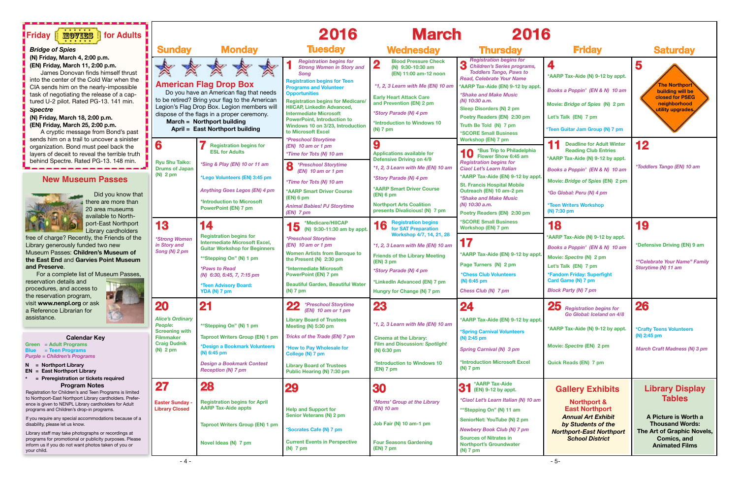

| $\bullet$                                                                                                                                                                                                                                                                                                                                                                             |                                                                                                                                                                 |  |  |  |
|---------------------------------------------------------------------------------------------------------------------------------------------------------------------------------------------------------------------------------------------------------------------------------------------------------------------------------------------------------------------------------------|-----------------------------------------------------------------------------------------------------------------------------------------------------------------|--|--|--|
| <b>Friday</b>                                                                                                                                                                                                                                                                                                                                                                         | <b>Saturday</b>                                                                                                                                                 |  |  |  |
| 4<br>*AARP Tax-Aide (N) 9-12 by appt.<br>Books a Poppin' (EN & N) 10 am<br>Movie: Bridge of Spies (N) 2 pm<br>Let's Talk (EN) 7 pm<br>*Teen Guitar Jam Group (N) 7 pm<br><b>Deadline for Adult Winter</b><br>11<br><b>Reading Club Entries</b><br>*AARP Tax-Aide (N) 9-12 by appt.<br>Books a Poppin' (EN & N) 10 am<br>Movie: Bridge of Spies (EN) 2 pm<br>*Go Global: Peru (N) 4 pm | 5<br><b>The Northport</b><br>building will be<br>closed for PSEG<br>neighborhood<br>utility upgrades.<br>12<br><i><b>*Toddlers Tango (EN) 10 am</b></i>         |  |  |  |
| *Teen Writers Workshop<br>(N) 7:30 pm                                                                                                                                                                                                                                                                                                                                                 |                                                                                                                                                                 |  |  |  |
| 18<br>*AARP Tax-Aide (N) 9-12 by appt.<br>Books a Poppin' (EN & N) 10 am<br>Movie: Spectre (N) 2 pm<br>Let's Talk (EN) 7 pm<br>*Fandom Friday: Superfight<br>Card Game (N) 7 pm<br><b>Block Party (N) 7 pm</b>                                                                                                                                                                        | 19<br>*Defensive Driving (EN) 9 am<br><b>*"Celebrate Your Name" Family</b><br>Storytime (N) 11 am                                                               |  |  |  |
| $25$ Registration begins for<br>Go Global: Iceland on 4/8<br>*AARP Tax-Aide (N) 9-12 by appt.<br>Movie: Spectre (EN) 2 pm<br><b>Quick Reads (EN) 7 pm</b>                                                                                                                                                                                                                             | 26<br><i><b>*Crafty Teens Volunteers</b></i><br>(N) 2:45 pm<br><b>March Craft Madness (N) 3 pm</b>                                                              |  |  |  |
| <b>Gallery Exhibits</b><br><b>Northport &amp;</b><br><b>East Northport</b><br><b>Annual Art Exhibit</b><br>by Students of the<br><b>Northport-East Northport</b><br><b>School District</b>                                                                                                                                                                                            | <b>Library Display</b><br><b>Tables</b><br>A Picture is Worth a<br><b>Thousand Words:</b><br>The Art of Graphic Novels,<br>Comics, and<br><b>Animated Films</b> |  |  |  |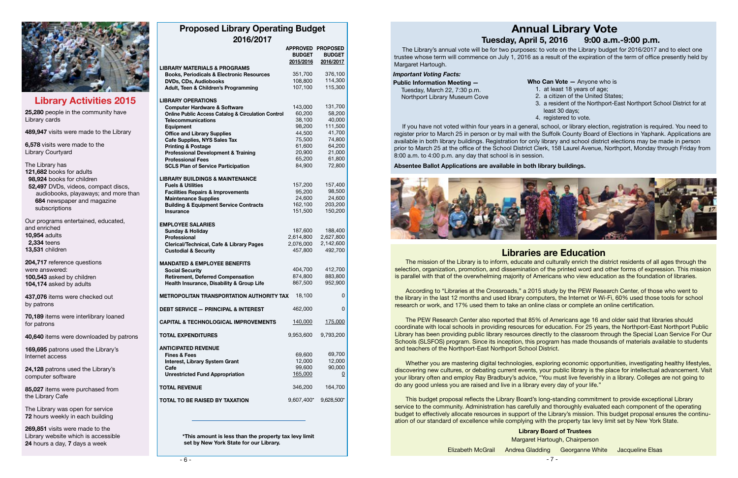**Can Vote —** Anyone who is



# **Library Activities 2015**

| <b>Proposed Library Operating Budget</b> |  |  |
|------------------------------------------|--|--|
| 2016/2017                                |  |  |

|                                                               | <b>BUDGET</b><br>2015/2016 | APPROVED PROPOSED<br><b>BUDGET</b><br>2016/2017 |  |
|---------------------------------------------------------------|----------------------------|-------------------------------------------------|--|
| <b>LIBRARY MATERIALS &amp; PROGRAMS</b>                       |                            |                                                 |  |
| <b>Books, Periodicals &amp; Electronic Resources</b>          | 351,700                    | 376,100                                         |  |
| <b>DVDs, CDs, Audiobooks</b>                                  | 108,800                    | 114,300                                         |  |
| Adult, Teen & Children's Programming                          | 107,100                    | 115,300                                         |  |
| <b>LIBRARY OPERATIONS</b>                                     |                            |                                                 |  |
| <b>Computer Hardware &amp; Software</b>                       | 143,000                    | 131,700                                         |  |
|                                                               | 60,200                     | 58,200                                          |  |
| <b>Online Public Access Catalog &amp; Circulation Control</b> | 38,100                     | 40,000                                          |  |
| <b>Telecommunications</b>                                     |                            | 111,500                                         |  |
| <b>Equipment</b>                                              | 98,200                     |                                                 |  |
| <b>Office and Library Supplies</b>                            | 44,500                     | 41,700                                          |  |
| <b>Cafe Supplies, NYS Sales Tax</b>                           | 75,500                     | 74,800                                          |  |
| <b>Printing &amp; Postage</b>                                 | 61,600                     | 64,200                                          |  |
| <b>Professional Development &amp; Training</b>                | 20,900                     | 21,000                                          |  |
| <b>Professional Fees</b>                                      | 65,200                     | 61,800                                          |  |
| <b>SCLS Plan of Service Participation</b>                     | 84,900                     | 72,800                                          |  |
| <b>LIBRARY BUILDINGS &amp; MAINTENANCE</b>                    |                            |                                                 |  |
| <b>Fuels &amp; Utilities</b>                                  | 157,200                    | 157,400                                         |  |
|                                                               | 95,200                     | 98,500                                          |  |
| <b>Facilities Repairs &amp; Improvements</b>                  | 24,600                     | 24,600                                          |  |
| <b>Maintenance Supplies</b>                                   |                            |                                                 |  |
| <b>Building &amp; Equipment Service Contracts</b>             | 162,100                    | 203,200                                         |  |
| <b>Insurance</b>                                              | 151,500                    | 150,200                                         |  |
| <b>EMPLOYEE SALARIES</b>                                      |                            |                                                 |  |
| <b>Sunday &amp; Holiday</b>                                   | 187,600                    | 188,400                                         |  |
| <b>Professional</b>                                           | 2,614,800                  | 2,627,800                                       |  |
| <b>Clerical/Technical, Cafe &amp; Library Pages</b>           | 2,076,000                  | 2,142,600                                       |  |
|                                                               | 457,800                    | 492,700                                         |  |
| <b>Custodial &amp; Security</b>                               |                            |                                                 |  |
| <b>MANDATED &amp; EMPLOYEE BENEFITS</b>                       |                            |                                                 |  |
| <b>Social Security</b>                                        | 404,700                    | 412,700                                         |  |
| <b>Retirement, Deferred Compensation</b>                      | 874,800                    | 883,800                                         |  |
| Health Insurance, Disability & Group Life                     | 867,500                    | 952,900                                         |  |
|                                                               |                            |                                                 |  |
| METROPOLITAN TRANSPORTATION AUTHORITY TAX                     | 18,100                     | 0                                               |  |
| <b>DEBT SERVICE - PRINCIPAL &amp; INTEREST</b>                | 462,000                    | 0                                               |  |
| <b>CAPITAL &amp; TECHNOLOGICAL IMPROVEMENTS</b>               | 140,000                    | 175,000                                         |  |
| <b>TOTAL EXPENDITURES</b>                                     | 9,953,600                  | 9,793,200                                       |  |
| <b>ANTICIPATED REVENUE</b>                                    |                            |                                                 |  |
| <b>Fines &amp; Fees</b>                                       | 69,600                     | 69,700                                          |  |
|                                                               | 12,000                     | 12,000                                          |  |
| <b>Interest, Library System Grant</b>                         | 99,600                     | 90,000                                          |  |
| Cafe                                                          |                            |                                                 |  |
| <b>Unrestricted Fund Appropriation</b>                        | 165,000                    | 0                                               |  |
| <b>TOTAL REVENUE</b>                                          | 346,200                    | 164,700                                         |  |
|                                                               |                            |                                                 |  |
| <b>TOTAL TO BE RAISED BY TAXATION</b>                         | 9,607,400*                 | 9,628,500*                                      |  |
|                                                               |                            |                                                 |  |

 **\*This amount is less than the property tax levy limit set by New York State for our Library.**

# **Annual Library Vote**<br>v. April 5. 2016 9:00 a.m.-9:00 p.m. **Tuesday, April 5, 2016**

**25,280** people in the community have Library cards

**489,947** visits were made to the Library

**6,578** visits were made to the Library Courtyard

The Library has **121,682** books for adults  **98,924** books for children  **52,497** DVDs, videos, compact discs, audiobooks, playaways; and more than **684** newspaper and magazine subscriptions

Our programs entertained, educated, and enriched **10,954** adults  **2,334** teens **13,531** children

**204,717** reference questions were answered: **100,543** asked by children **104,174** asked by adults

**437,076** items were checked out by patrons

**70,189** items were interlibrary loaned for patrons

**40,640** items were downloaded by patrons

**169,695** patrons used the Library's Internet access

**24,128** patrons used the Library's computer software

**85,027** items were purchased from the Library Cafe

The Library was open for service **72** hours weekly in each building

**269,851** visits were made to the Library website which is accessible **24** hours a day, **7** days a week

# **Libraries are Education**

**Library Board of Trustees** Margaret Hartough, Chairperson Elizabeth McGrail Andrea Gladding Georganne White Jacqueline Elsas

- at least 18 years of age;
- a citizen of the United States;
- a resident of the Northport-East Northport School District for at least 30 days;
- 4. registered to vote.

The mission of the Library is to inform, educate and culturally enrich the district residents of all ages through the selection, organization, promotion, and dissemination of the printed word and other forms of expression. This mission is parallel with that of the overwhelming majority of Americans who view education as the foundation of libraries.

According to "Libraries at the Crossroads," a 2015 study by the PEW Research Center, of those who went to the library in the last 12 months and used library computers, the Internet or Wi-Fi, 60% used those tools for school research or work, and 17% used them to take an online class or complete an online certification.

The PEW Research Center also reported that 85% of Americans age 16 and older said that libraries should coordinate with local schools in providing resources for education. For 25 years, the Northport-East Northport Public Library has been providing public library resources directly to the classroom through the Special Loan Service For Our Schools (SLSFOS) program. Since its inception, this program has made thousands of materials available to students and teachers of the Northport-East Northport School District.

Whether you are mastering digital technologies, exploring economic opportunities, investigating healthy lifestyles, discovering new cultures, or debating current events, your public library is the place for intellectual advancement. Visit your library often and employ Ray Bradbury's advice, "You must live feverishly in a library. Colleges are not going to do any good unless you are raised and live in a library every day of your life."

This budget proposal reflects the Library Board's long-standing commitment to provide exceptional Library service to the community. Administration has carefully and thoroughly evaluated each component of the operating budget to effectively allocate resources in support of the Library's mission. This budget proposal ensures the continuation of our standard of excellence while complying with the property tax levy limit set by New York State.

The Library's annual vote will be for two purposes: to vote on the Library budget for 2016/2017 and to elect one trustee whose term will commence on July 1, 2016 as a result of the expiration of the term of office presently held by Margaret Hartough.

### *Important Voting Facts:*

| <b>Public Information Meeting —</b> | Who |  |
|-------------------------------------|-----|--|
| Tuesday, March 22, 7:30 p.m.        |     |  |
| Northport Library Museum Cove       |     |  |
|                                     | 3   |  |

If you have not voted within four years in a general, school, or library election, registration is required. You need to register prior to March 25 in person or by mail with the Suffolk County Board of Elections in Yaphank. Applications are available in both library buildings. Registration for only library and school district elections may be made in person prior to March 25 at the office of the School District Clerk, 158 Laurel Avenue, Northport, Monday through Friday from 8:00 a.m. to 4:00 p.m. any day that school is in session.

**Absentee Ballot Applications are available in both library buildings.**

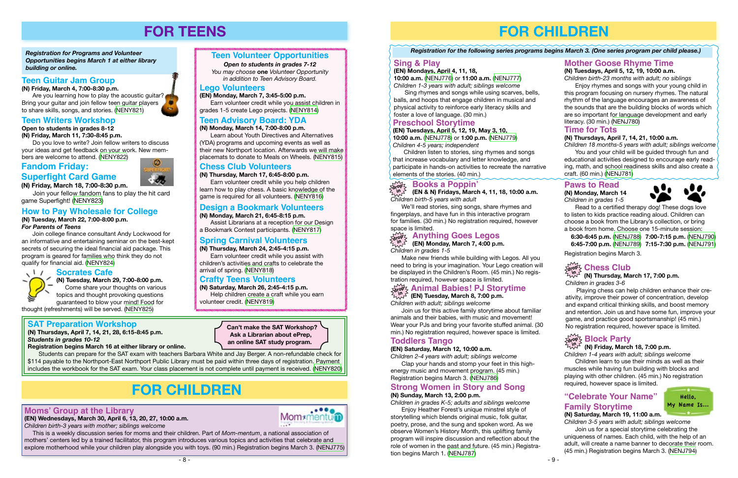# **SAT Preparation Workshop**

**(N) Thursdays, April 7, 14, 21, 28, 6:15-8:45 p.m.**  *Students in grades 10-12* 

**Registration begins March 16 at either library or online.**

Students can prepare for the SAT exam with teachers Barbara White and Jay Berger. A non-refundable check for \$114 payable to the Northport-East Northport Public Library must be paid within three days of registration. Payment includes the workbook for the SAT exam. Your class placement is not complete until payment is received. [\(NENY820](http://alpha1.suffolk.lib.ny.us/record%3Dg1062009~S43))

# **FOR TEENS**

Are you learning how to play the acoustic quitar? Bring your guitar and join fellow teen guitar players to share skills, songs, and stories. ([NENY821](http://alpha1.suffolk.lib.ny.us/record%3Dg1061644~S43))

*Registration for Programs and Volunteer Opportunities begins March 1 at either library building or online.*



### *Open to students in grades 7-12*

*You may choose* **one** *Volunteer Opportunity in addition to Teen Advisory Board.* 

# **Fandom Friday:**



#### **Socrates Cafe**  $\sqrt{11}$

Join your fellow fandom fans to play the hit card game Superfight! [\(NENY823\)](http://alpha1.suffolk.lib.ny.us/record%3Dg1061657~S43)

# **Teen Guitar Jam Group**

**(N) Friday, March 4, 7:00-8:30 p.m.**

# **Chess Club Volunteers**

**(N) Thursday, March 17, 6:45-8:00 p.m.**

Earn volunteer credit while you help children learn how to play chess. A basic knowledge of the game is required for all volunteers. [\(NENY816](http://alpha1.suffolk.lib.ny.us/record%3Dg1061707~S43))

# **Teen Advisory Board: YDA**

**(N) Monday, March 14, 7:00-8:00 p.m.** Learn about Youth Directives and Alternatives

(YDA) programs and upcoming events as well as their new Northport location. Afterwards we will make placemats to donate to Meals on Wheels. ([NENY815\)](http://alpha1.suffolk.lib.ny.us/record%3Dg1061704~S43)

**Superfight Card Game (N) Friday, March 18, 7:00-8:30 p.m.** bers are welcome to attend. [\(NENY822](http://alpha1.suffolk.lib.ny.us/record%3Dg1061653~S43))



**(N) Tuesday, March 29, 7:00-8:00 p.m.** Come share your thoughts on various topics and thought provoking questions guaranteed to blow your mind! Food for

thought (refreshments) will be served. ([NENY825](http://alpha1.suffolk.lib.ny.us/record%3Dg1061666~S43))

# **FOR CHILDREN**

### **Lego Volunteers**

**(EN) Monday, March 7, 3:45-5:00 p.m.**

Earn volunteer credit while you assist children in grades 1-5 create Lego projects. [\(NENY814](http://alpha1.suffolk.lib.ny.us/record%3Dg1061681~S43))

# **How to Pay Wholesale for College**

### **(N) Tuesday, March 22, 7:00-8:00 p.m.** *For Parents of Teens*

Enjoy rhymes and songs with your young child in this program focusing on nursery rhymes. The natural rhythm of the language encourages an awareness of the sounds that are the building blocks of words which are so important for language development and early literacy. (30 min.) (NENJ780)

Join college finance consultant Andy Lockwood for an informative and entertaining seminar on the best-kept secrets of securing the ideal financial aid package. This program is geared for families who think they do not qualify for financial aid. [\(NENY824\)](http://alpha1.suffolk.lib.ny.us/record%3Dg1061661~S43)



# **Open to students in grades 8-12**

**(N) Friday, March 11, 7:30-8:45 p.m.**

Do you love to write? Join fellow writers to discuss your ideas and get feedback on your work. New mem-

## **Design a Bookmark Volunteers**

### **(N) Monday, March 21, 6:45-8:15 p.m.**

Assist Librarians at a reception for our Design a Bookmark Contest participants. ([NENY817](http://alpha1.suffolk.lib.ny.us/record%3Dg1061708~S43))

## **Spring Carnival Volunteers**

**(N) Thursday, March 24, 2:45-4:15 p.m.**

Earn volunteer credit while you assist with children's activities and crafts to celebrate the arrival of spring. [\(NENY818\)](http://alpha1.suffolk.lib.ny.us/record%3Dg1061717~S43)

# **Crafty Teens Volunteers**

**(N) Saturday, March 26, 2:45-4:15 p.m.** Help children create a craft while you earn volunteer credit. ([NENY819](http://alpha1.suffolk.lib.ny.us/record%3Dg1061718~S43))

## **Moms' Group at the Library**

**(EN) Wednesdays, March 30, April 6, 13, 20, 27, 10:00 a.m.** *Children birth-3 years with mother; siblings welcome*



 This is a weekly discussion series for moms and their children. Part of *Mom-mentum*, a national association of mothers' centers led by a trained facilitator, this program introduces various topics and activities that celebrate and explore motherhood while your children play alongside you with toys. (90 min.) Registration begins March 3. ([NENJ775](http://alpha1.suffolk.lib.ny.us/record%3Dg1061247~S43))

**Can't make the SAT Workshop? Ask a Librarian about ePrep, an online SAT study program.** 

# **FOR CHILDREN**

**(N) Thursday, March 17, 7:00 p.m. in** *Children in grades 3-6*

Playing chess can help children enhance their creativity, improve their power of concentration, develop and expand critical thinking skills, and boost memory and retention. Join us and have some fun, improve your game, and practice good sportsmanship! (45 min.) No registration required, however space is limited.

# $\frac{1}{\text{deg}^2}$  Block Party

## **Mother Goose Rhyme Time**

**(N) Tuesdays, April 5, 12, 19, 10:00 a.m.**

*Children birth-23 months with adult; no siblings*

**(EN) Tuesdays, April 5, 12, 19, May 3, 10, 10:00 a.m.** [\(NENJ778\)](http://alpha1.suffolk.lib.ny.us/record%3Dg1061245~S43) or **1:00 p.m.** [\(NENJ779\)](http://alpha1.suffolk.lib.ny.us/record%3Dg1061288~S43) *Children 4-5 years; independent*

Children listen to stories, sing rhymes and songs that increase vocabulary and letter knowledge, and participate in hands-on activities to recreate the narrative elements of the stories. (40 min.)

# $\widetilde{\text{div}}$  Books a Poppin'

# **Sing & Play**

**(EN) Mondays, April 4, 11, 18, 10:00 a.m.** ([NENJ776](http://alpha1.suffolk.lib.ny.us/record%3Dg1061242~S43)) or **11:00 a.m.** ([NENJ777](http://alpha1.suffolk.lib.ny.us/record%3Dg1061244~S43)) *Children 1-3 years with adult; siblings welcome*

Sing rhymes and songs while using scarves, bells, balls, and hoops that engage children in musical and physical activity to reinforce early literacy skills and foster a love of language. (30 min.)

## **Preschool Storytime**

### **Time for Tots**

### **(N) Thursdays, April 7, 14, 21, 10:00 a.m.**

*Children 18 months-5 years with adult; siblings welcome* You and your child will be guided through fun and

educational activities designed to encourage early reading, math, and school readiness skills and also create a craft. (60 min.) [\(NENJ781\)](http://alpha1.suffolk.lib.ny.us/record%3Dg1061114~S43)

### *Registration for the following series programs begins March 3. (One series program per child please.)*

*Children with adult; siblings welcome*

Join us for this active family storytime about familiar animals and their babies, with music and movement! Wear your PJs and bring your favorite stuffed animal. (30 min.) No registration required, however space is limited.

### **Strong Women in Story and Song (N) Sunday, March 13, 2:00 p.m.**

*Children in grades K-5; adults and siblings welcome*

Enjoy Heather Forest's unique minstrel style of storytelling which blends original music, folk guitar, poetry, prose, and the sung and spoken word. As we observe Women's History Month, this uplifting family program will inspire discussion and reflection about the role of women in the past and future. (45 min.) Registration begins March 1. ([NENJ787](http://alpha1.suffolk.lib.ny.us/record%3Dg1061037~S43))

**(EN & N) Fridays, March 4, 11, 18, 10:00 a.m.** *Children birth-5 years with adult* **in**

We'll read stories, sing songs, share rhymes and fingerplays, and have fun in this interactive program for families. (30 min.) No registration required, however space is limited.

# $\frac{1}{\alpha_0}$  , Anything Goes Legos

*Children in grades 1-5*

### **(EN) Monday, March 7, 4:00 p.m. in**

Make new friends while building with Legos. All you need to bring is your imagination. Your Lego creation will be displayed in the Children's Room. (45 min.) No registration required, however space is limited.

# Xrop Animal Babies! PJ Storytime<br>ن<sup>در (</sup>EN) Tuesday, March 8, 7:00 p.m.

# **Toddlers Tango**

### **(EN) Saturday, March 12, 10:00 a.m.**

*Children 2-4 years with adult; siblings welcome*

Clap your hands and stomp your feet in this highenergy music and movement program. (45 min.) Registration begins March 3. ([NENJ786](http://alpha1.suffolk.lib.ny.us/record%3Dg1061249~S43))

### **Paws to Read**

**(N) Monday, March 14** *Children in grades 1-5*



Read to a certified therapy dog! These dogs love to listen to kids practice reading aloud. Children can choose a book from the Library's collection, or bring a book from home. Choose one 15-minute session:

 **6:30-6:45 p.m.** ([NENJ788](http://alpha1.suffolk.lib.ny.us/record%3Dg1061047~S43)) **7:00-7:15 p.m.** [\(NENJ790\)](http://alpha1.suffolk.lib.ny.us/record%3Dg1061050~S43) **6:45-7:00 p.m.** ([NENJ789](http://alpha1.suffolk.lib.ny.us/record%3Dg1061048~S43)) **7:15-7:30 p.m.** [\(NENJ791\)](http://alpha1.suffolk.lib.ny.us/record%3Dg1061051~S43)

Registration begins March 3.

# $\frac{1}{2}$  chess Club

*Children 1-4 years with adult; siblings welcome* Children learn to use their minds as well as their muscles while having fun building with blocks and playing with other children. (45 min.) No registration

# **(N) Friday, March 18, 7:00 p.m. in**

## required, however space is limited.

# **"Celebrate Your Name" Family Storytime**



*Children 3-5 years with adult; siblings welcome*

Join us for a special storytime celebrating the uniqueness of names. Each child, with the help of an adult, will create a name banner to decorate their room. (45 min.) Registration begins March 3. ([NENJ794](http://alpha1.suffolk.lib.ny.us/record%3Dg1061053~S43))

Hello, My Name Is...